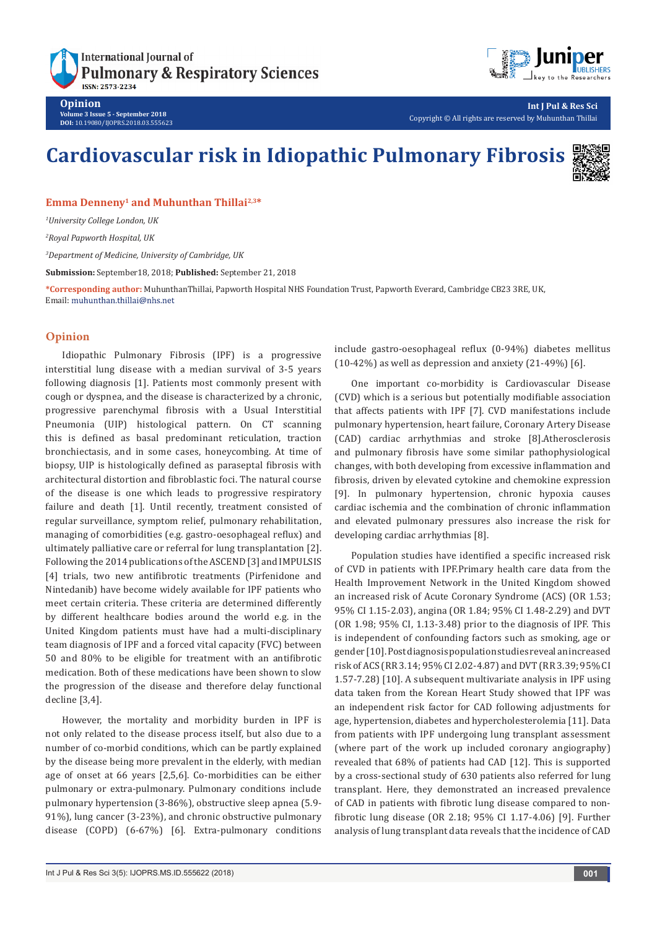# **International Journal of Pulmonary & Respiratory Sciences ISSN: 2573-2234**



**Opinion Volume 3 Issue 5 - September 2018 DOI:** [10.19080/IJOPRS.2018.03.555623](http://dx.doi.org/10.19080/IJOPRS.2018.03.555623)

**Int J Pul & Res Sci** Copyright © All rights are reserved by Muhunthan Thillai

# **Cardiovascular risk in Idiopathic Pulmonary Fibrosis**



**Emma Denneny1 and Muhunthan Thillai2,3\***

*1 University College London, UK*

*2 Royal Papworth Hospital, UK*

*3 Department of Medicine, University of Cambridge, UK*

**Submission:** September18, 2018; **Published:** September 21, 2018

**\*Corresponding author:** MuhunthanThillai, Papworth Hospital NHS Foundation Trust, Papworth Everard, Cambridge CB23 3RE, UK, Email: muhunthan.thillai@nhs.net

## **Opinion**

Idiopathic Pulmonary Fibrosis (IPF) is a progressive interstitial lung disease with a median survival of 3-5 years following diagnosis [1]. Patients most commonly present with cough or dyspnea, and the disease is characterized by a chronic, progressive parenchymal fibrosis with a Usual Interstitial Pneumonia (UIP) histological pattern. On CT scanning this is defined as basal predominant reticulation, traction bronchiectasis, and in some cases, honeycombing. At time of biopsy, UIP is histologically defined as paraseptal fibrosis with architectural distortion and fibroblastic foci. The natural course of the disease is one which leads to progressive respiratory failure and death [1]. Until recently, treatment consisted of regular surveillance, symptom relief, pulmonary rehabilitation, managing of comorbidities (e.g. gastro-oesophageal reflux) and ultimately palliative care or referral for lung transplantation [2]. Following the 2014 publications of the ASCEND [3] and IMPULSIS [4] trials, two new antifibrotic treatments (Pirfenidone and Nintedanib) have become widely available for IPF patients who meet certain criteria. These criteria are determined differently by different healthcare bodies around the world e.g. in the United Kingdom patients must have had a multi-disciplinary team diagnosis of IPF and a forced vital capacity (FVC) between 50 and 80% to be eligible for treatment with an antifibrotic medication. Both of these medications have been shown to slow the progression of the disease and therefore delay functional decline [3,4].

However, the mortality and morbidity burden in IPF is not only related to the disease process itself, but also due to a number of co-morbid conditions, which can be partly explained by the disease being more prevalent in the elderly, with median age of onset at 66 years [2,5,6]. Co-morbidities can be either pulmonary or extra-pulmonary. Pulmonary conditions include pulmonary hypertension (3-86%), obstructive sleep apnea (5.9- 91%), lung cancer (3-23%), and chronic obstructive pulmonary disease (COPD) (6-67%) [6]. Extra-pulmonary conditions include gastro-oesophageal reflux (0-94%) diabetes mellitus  $(10-42%)$  as well as depression and anxiety  $(21-49%)$  [6].

One important co-morbidity is Cardiovascular Disease (CVD) which is a serious but potentially modifiable association that affects patients with IPF [7]. CVD manifestations include pulmonary hypertension, heart failure, Coronary Artery Disease (CAD) cardiac arrhythmias and stroke [8].Atherosclerosis and pulmonary fibrosis have some similar pathophysiological changes, with both developing from excessive inflammation and fibrosis, driven by elevated cytokine and chemokine expression [9]. In pulmonary hypertension, chronic hypoxia causes cardiac ischemia and the combination of chronic inflammation and elevated pulmonary pressures also increase the risk for developing cardiac arrhythmias [8].

Population studies have identified a specific increased risk of CVD in patients with IPF.Primary health care data from the Health Improvement Network in the United Kingdom showed an increased risk of Acute Coronary Syndrome (ACS) (OR 1.53; 95% CI 1.15-2.03), angina (OR 1.84; 95% CI 1.48-2.29) and DVT (OR 1.98; 95% CI, 1.13-3.48) prior to the diagnosis of IPF. This is independent of confounding factors such as smoking, age or gender [10]. Post diagnosis population studies reveal an increased risk of ACS (RR 3.14; 95% CI 2.02-4.87) and DVT (RR 3.39; 95% CI 1.57-7.28) [10]. A subsequent multivariate analysis in IPF using data taken from the Korean Heart Study showed that IPF was an independent risk factor for CAD following adjustments for age, hypertension, diabetes and hypercholesterolemia [11]. Data from patients with IPF undergoing lung transplant assessment (where part of the work up included coronary angiography) revealed that 68% of patients had CAD [12]. This is supported by a cross-sectional study of 630 patients also referred for lung transplant. Here, they demonstrated an increased prevalence of CAD in patients with fibrotic lung disease compared to nonfibrotic lung disease (OR 2.18; 95% CI 1.17-4.06) [9]. Further analysis of lung transplant data reveals that the incidence of CAD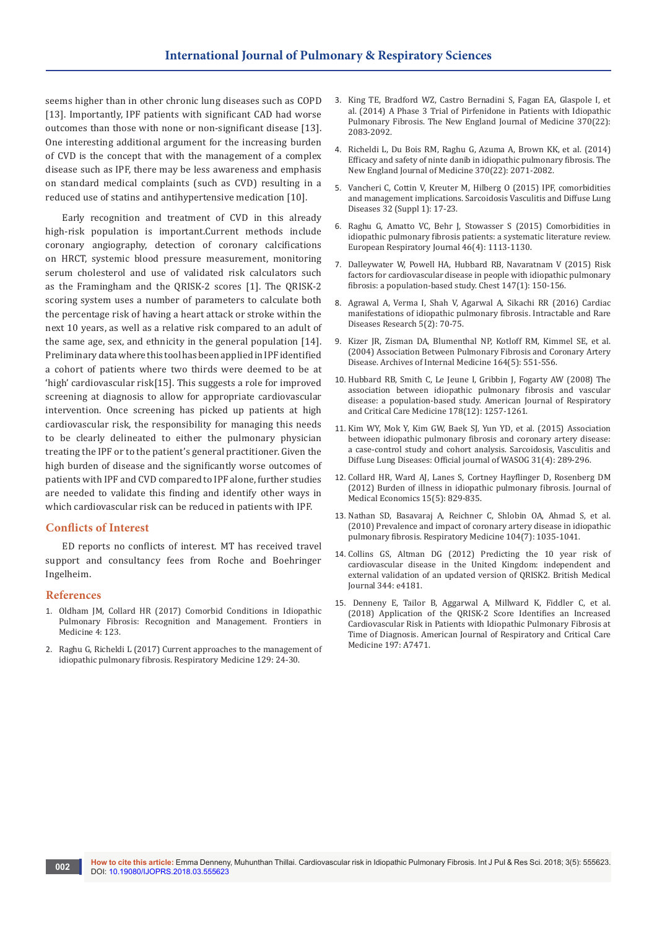seems higher than in other chronic lung diseases such as COPD [13]. Importantly, IPF patients with significant CAD had worse outcomes than those with none or non-significant disease [13]. One interesting additional argument for the increasing burden of CVD is the concept that with the management of a complex disease such as IPF, there may be less awareness and emphasis on standard medical complaints (such as CVD) resulting in a reduced use of statins and antihypertensive medication [10].

Early recognition and treatment of CVD in this already high-risk population is important.Current methods include coronary angiography, detection of coronary calcifications on HRCT, systemic blood pressure measurement, monitoring serum cholesterol and use of validated risk calculators such as the Framingham and the QRISK-2 scores [1]. The QRISK-2 scoring system uses a number of parameters to calculate both the percentage risk of having a heart attack or stroke within the next 10 years, as well as a relative risk compared to an adult of the same age, sex, and ethnicity in the general population [14]. Preliminary data where this tool has been applied in IPF identified a cohort of patients where two thirds were deemed to be at 'high' cardiovascular risk[15]. This suggests a role for improved screening at diagnosis to allow for appropriate cardiovascular intervention. Once screening has picked up patients at high cardiovascular risk, the responsibility for managing this needs to be clearly delineated to either the pulmonary physician treating the IPF or to the patient's general practitioner. Given the high burden of disease and the significantly worse outcomes of patients with IPF and CVD compared to IPF alone, further studies are needed to validate this finding and identify other ways in which cardiovascular risk can be reduced in patients with IPF.

#### **Conflicts of Interest**

ED reports no conflicts of interest. MT has received travel support and consultancy fees from Roche and Boehringer Ingelheim.

#### **References**

- 1. [Oldham JM, Collard HR \(2017\) Comorbid Conditions in Idiopathic](https://www.ncbi.nlm.nih.gov/pubmed/28824912)  [Pulmonary Fibrosis: Recognition and Management. Frontiers in](https://www.ncbi.nlm.nih.gov/pubmed/28824912)  [Medicine 4: 123.](https://www.ncbi.nlm.nih.gov/pubmed/28824912)
- 2. [Raghu G, Richeldi L \(2017\) Current approaches to the management of](https://www.ncbi.nlm.nih.gov/pubmed/28732832)  [idiopathic pulmonary fibrosis. Respiratory Medicine 129: 24-30.](https://www.ncbi.nlm.nih.gov/pubmed/28732832)
- 3. [King TE, Bradford WZ, Castro Bernadini S, Fagan EA, Glaspole I, et](https://www.ncbi.nlm.nih.gov/pubmed/24836312)  [al. \(2014\) A Phase 3 Trial of Pirfenidone in Patients with Idiopathic](https://www.ncbi.nlm.nih.gov/pubmed/24836312)  [Pulmonary Fibrosis. The New England Journal of Medicine 370\(22\):](https://www.ncbi.nlm.nih.gov/pubmed/24836312)  [2083-2092.](https://www.ncbi.nlm.nih.gov/pubmed/24836312)
- 4. [Richeldi L, Du Bois RM, Raghu G, Azuma A, Brown KK, et al. \(2014\)](https://www.ncbi.nlm.nih.gov/pubmed/24836310)  [Efficacy and safety of ninte danib in idiopathic pulmonary fibrosis. The](https://www.ncbi.nlm.nih.gov/pubmed/24836310)  [New England Journal of Medicine 370\(22\): 2071-2082.](https://www.ncbi.nlm.nih.gov/pubmed/24836310)
- 5. [Vancheri C, Cottin V, Kreuter M, Hilberg O \(2015\) IPF, comorbidities](C://Users/JP/Downloads/4697-Article%20Text-13195-1-10-20150827.pdf)  [and management implications. Sarcoidosis Vasculitis and Diffuse Lung](C://Users/JP/Downloads/4697-Article%20Text-13195-1-10-20150827.pdf)  [Diseases 32 \(Suppl 1\): 17-23.](C://Users/JP/Downloads/4697-Article%20Text-13195-1-10-20150827.pdf)
- 6. [Raghu G, Amatto VC, Behr J, Stowasser S \(2015\) Comorbidities in](https://www.ncbi.nlm.nih.gov/pubmed/26424523)  [idiopathic pulmonary fibrosis patients: a systematic literature review.](https://www.ncbi.nlm.nih.gov/pubmed/26424523)  [European Respiratory Journal 46\(4\): 1113-1130.](https://www.ncbi.nlm.nih.gov/pubmed/26424523)
- 7. [Dalleywater W, Powell HA, Hubbard RB, Navaratnam V \(2015\) Risk](https://www.ncbi.nlm.nih.gov/pubmed/25121965)  [factors for cardiovascular disease in people with idiopathic pulmonary](https://www.ncbi.nlm.nih.gov/pubmed/25121965)  [fibrosis: a population-based study. Chest 147\(1\): 150-156.](https://www.ncbi.nlm.nih.gov/pubmed/25121965)
- 8. [Agrawal A, Verma I, Shah V, Agarwal A, Sikachi RR \(2016\) Cardiac](https://www.ncbi.nlm.nih.gov/pmc/articles/PMC4869585/)  [manifestations of idiopathic pulmonary fibrosis. Intractable and Rare](https://www.ncbi.nlm.nih.gov/pmc/articles/PMC4869585/)  [Diseases Research 5\(2\): 70-75.](https://www.ncbi.nlm.nih.gov/pmc/articles/PMC4869585/)
- 9. [Kizer JR, Zisman DA, Blumenthal NP, Kotloff RM, Kimmel SE, et al.](https://www.ncbi.nlm.nih.gov/pubmed/15006833)  [\(2004\) Association Between Pulmonary Fibrosis and Coronary Artery](https://www.ncbi.nlm.nih.gov/pubmed/15006833)  [Disease. Archives of Internal Medicine 164\(5\): 551-556.](https://www.ncbi.nlm.nih.gov/pubmed/15006833)
- 10. [Hubbard RB, Smith C, Le Jeune I, Gribbin J, Fogarty AW \(2008\) The](https://www.ncbi.nlm.nih.gov/pubmed/18755924)  [association between idiopathic pulmonary fibrosis and vascular](https://www.ncbi.nlm.nih.gov/pubmed/18755924)  [disease: a population-based study. American Journal of Respiratory](https://www.ncbi.nlm.nih.gov/pubmed/18755924)  [and Critical Care Medicine 178\(12\): 1257-1261.](https://www.ncbi.nlm.nih.gov/pubmed/18755924)
- 11. [Kim WY, Mok Y, Kim GW, Baek SJ, Yun YD, et al. \(2015\) Association](http://citeseerx.ist.psu.edu/viewdoc/download?doi=10.1.1.825.520&rep=rep1&type=pdf)  [between idiopathic pulmonary fibrosis and coronary artery disease:](http://citeseerx.ist.psu.edu/viewdoc/download?doi=10.1.1.825.520&rep=rep1&type=pdf)  [a case-control study and cohort analysis. Sarcoidosis, Vasculitis and](http://citeseerx.ist.psu.edu/viewdoc/download?doi=10.1.1.825.520&rep=rep1&type=pdf)  [Diffuse Lung Diseases: Official journal of WASOG 31\(4\): 289-296.](http://citeseerx.ist.psu.edu/viewdoc/download?doi=10.1.1.825.520&rep=rep1&type=pdf)
- 12. [Collard HR, Ward AJ, Lanes S, Cortney Hayflinger D, Rosenberg DM](https://www.ncbi.nlm.nih.gov/pubmed/22455577)  [\(2012\) Burden of illness in idiopathic pulmonary fibrosis. Journal of](https://www.ncbi.nlm.nih.gov/pubmed/22455577)  [Medical Economics 15\(5\): 829-835.](https://www.ncbi.nlm.nih.gov/pubmed/22455577)
- 13. [Nathan SD, Basavaraj A, Reichner C, Shlobin OA, Ahmad S, et al.](https://www.ncbi.nlm.nih.gov/pubmed/20199856)  [\(2010\) Prevalence and impact of coronary artery disease in idiopathic](https://www.ncbi.nlm.nih.gov/pubmed/20199856)  [pulmonary fibrosis. Respiratory Medicine 104\(7\): 1035-1041.](https://www.ncbi.nlm.nih.gov/pubmed/20199856)
- 14. [Collins GS, Altman DG \(2012\) Predicting the 10 year risk of](https://www.bmj.com/content/344/bmj.e4181)  [cardiovascular disease in the United Kingdom: independent and](https://www.bmj.com/content/344/bmj.e4181)  [external validation of an updated version of QRISK2. British Medical](https://www.bmj.com/content/344/bmj.e4181)  [Journal 344: e4181.](https://www.bmj.com/content/344/bmj.e4181)
- 15. [Denneny E, Tailor B, Aggarwal A, Millward K, Fiddler C, et al.](https://www.atsjournals.org/doi/abs/10.1164/ajrccm-conference.2018.197.1_MeetingAbstracts.A7471)  [\(2018\) Application of the QRISK-2 Score Identifies an Increased](https://www.atsjournals.org/doi/abs/10.1164/ajrccm-conference.2018.197.1_MeetingAbstracts.A7471)  [Cardiovascular Risk in Patients with Idiopathic Pulmonary Fibrosis at](https://www.atsjournals.org/doi/abs/10.1164/ajrccm-conference.2018.197.1_MeetingAbstracts.A7471)  [Time of Diagnosis. American Journal of Respiratory and Critical Care](https://www.atsjournals.org/doi/abs/10.1164/ajrccm-conference.2018.197.1_MeetingAbstracts.A7471)  [Medicine 197: A7471.](https://www.atsjournals.org/doi/abs/10.1164/ajrccm-conference.2018.197.1_MeetingAbstracts.A7471)